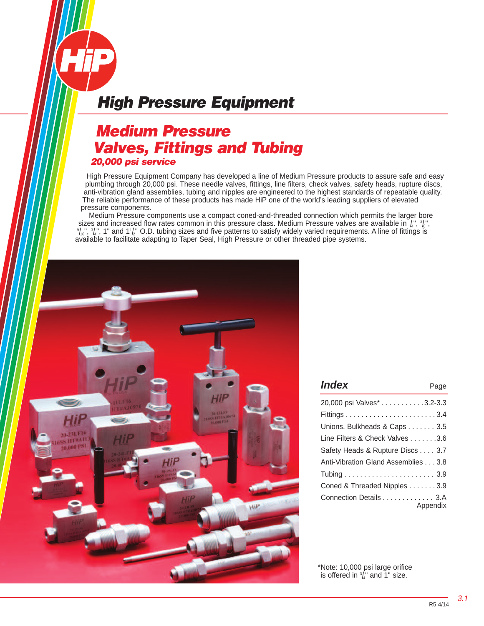## *Medium Pressure Valves, Fittings and Tubing 20,000 psi service*

High Pressure Equipment Company has developed a line of Medium Pressure products to assure safe and easy plumbing through 20,000 psi. These needle valves, fittings, line filters, check valves, safety heads, rupture discs, anti-vibration gland assemblies, tubing and nipples are engineered to the highest standards of repeatable quality. The reliable performance of these products has made HiP one of the world's leading suppliers of elevated pressure components.

 Medium Pressure components use a compact coned-and-threaded connection which permits the larger bore sizes and increased flow rates common in this pressure class. Medium Pressure valves are available in  $\frac{1}{4}$ ,  $\frac{3}{8}$ ,  $\frac{1}{8}$ ,  $\frac{1}{8}$ ,  $\frac{1}{8}$ ,  $\frac{1}{8}$ ,  $\frac{1}{8}$ ,  $\frac{1}{8}$ ,  $\frac{1}{8}$ ,  $\frac{1}{8}$ ,  $\frac{1}{8}$  $/_{16}$ ",  $3/_{4}$ ", 1" and 1 $/_{2}$ " O.D. tubing sizes and five patterns to satisfy widely varied requirements. A line of fittings is available to facilitate adapting to Taper Seal, High Pressure or other threaded pipe systems.



| <i><b>Index</b></i>                 | Page     |
|-------------------------------------|----------|
| 20,000 psi Valves* 3.2-3.3          |          |
|                                     |          |
| Unions, Bulkheads & Caps 3.5        |          |
| Line Filters & Check Valves 3.6     |          |
| Safety Heads & Rupture Discs 3.7    |          |
| Anti-Vibration Gland Assemblies 3.8 |          |
|                                     |          |
| Coned & Threaded Nipples 3.9        |          |
| Connection Details 3.A              | Appendix |

\*Note: 10,000 psi large orifice is offered in  $\frac{3}{4}$ " and 1" size.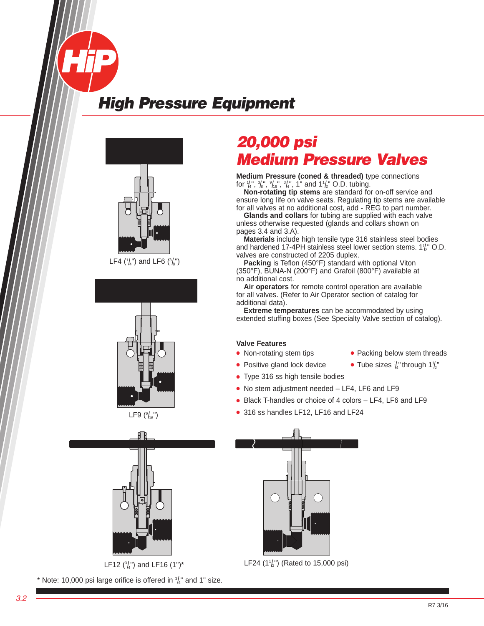







LF12 ( $\frac{3}{4}$ ") and LF16 (1")\*

\* Note: 10,000 psi large orifice is offered in  $\frac{3}{4}$ " and 1" size.

# *20,000 psi Medium Pressure Valves*

**Medium Pressure (coned & threaded)** type connections for  $\frac{1}{4}$ ,  $\frac{3}{8}$ ,  $\frac{9}{16}$ ,  $\frac{9}{16}$ ,  $\frac{3}{4}$ , 1" and 1<sup>1</sup>/<sub>2</sub>" O.D. tubing.

 **Non-rotating tip stems** are standard for on-off service and ensure long life on valve seats. Regulating tip stems are available for all valves at no additional cost, add - REG to part number.

 **Glands and collars** for tubing are supplied with each valve unless otherwise requested (glands and collars shown on pages 3.4 and 3.A).

 **Materials** include high tensile type 316 stainless steel bodies and hardened 17-4PH stainless steel lower section stems.  $1\frac{1}{2}$  O.D. valves are constructed of 2205 duplex.

 **Packing** is Teflon (450°F) standard with optional Viton (350°F), BUNA-N (200°F) and Grafoil (800°F) available at no additional cost.

 **Air operators** for remote control operation are available for all valves. (Refer to Air Operator section of catalog for additional data).

**Extreme temperatures** can be accommodated by using extended stuffing boxes (See Specialty Valve section of catalog).

#### **Valve Features**

- Non-rotating stem tips **●** Packing below stem threads
- Positive gland lock device
- **●** Type 316 ss high tensile bodies
- **●** No stem adjustment needed LF4, LF6 and LF9
- **●** Black T-handles or choice of 4 colors LF4, LF6 and LF9
- **●** 316 ss handles LF12, LF16 and LF24



LF24  $(1\frac{1}{2})$  (Rated to 15,000 psi)

 $\frac{1}{4}$ " through 1 $\frac{1}{2}$ "

R7 3/16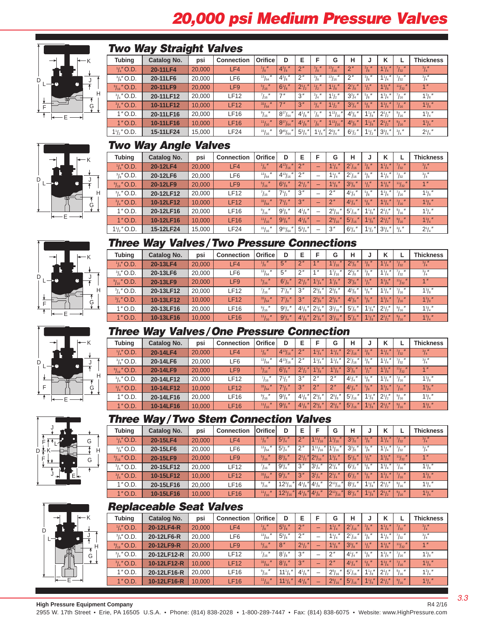# *20,000 psi Medium Pressure Valves*



#### *Two Way Straight Valves*

| <b>Tubing</b>         | Catalog No. | psi    | <b>Connection</b> | Orifice          | D               | Е               | F                                      | G                          | н                    | s.                      | ĸ              |                    | <b>Thickness</b>         |
|-----------------------|-------------|--------|-------------------|------------------|-----------------|-----------------|----------------------------------------|----------------------------|----------------------|-------------------------|----------------|--------------------|--------------------------|
| $\frac{1}{4}$ O.D.    | 20-11LF4    | 20,000 | LF4               | $^{1}/_{8}$ "    | $4^{3}/_{8}$ "  | 2 <sup>n</sup>  | $\frac{3}{8}$ "                        | $131$ $\mu$<br>/16         | $2^{\prime\prime}$   | $\frac{3}{8}$ "         | $1^{1}/_{4}$ " | $\frac{7}{32}$ "   | $^{3}/_{4}''$            |
| $\frac{3}{8}$ " O.D.  | 20-11LF6    | 20,000 | LF6               | $^{13}/_{64}$    | $4^{3}/_{8}$    | 2 <sup>''</sup> | $^{3}/_{8}$ "                          | $\mathbf{u}$<br>131<br>116 | $2^{\prime\prime}$   | $^{3}/_{8}$ "           | $1^{1}/_{4}$   | /32                | $^{3}/_{4}$ "            |
| $\frac{9}{16}$ " O.D. | 20-11LF9    | 20,000 | LF <sub>9</sub>   | $^{5}/_{16}$ "   | $6^{1}/s''$     | $2^{1}/2$       | $\frac{1}{2}$                          | $1^{1}/s''$                | $2^{7}/\mathrm{s}$ " | $1 / \mu$<br>$\sqrt{2}$ | $1^{3}/8$      | $111$ $\mu$<br>132 | 1 <sup>II</sup>          |
| $\frac{3}{4}$ " O.D.  | 20-11LF12   | 20.000 | LF12              | $\frac{7}{16}$ " | 7''             | 3''             | $^{3}/_{4}$ <sup><math>''</math></sup> | $1^{1}/2$                  | $3^{3}/_{4}$ "       | $^{5}/_{8}$ "           | $1^{3}/_{4}$ " | 16                 | $1^{3}/\!$ $\frac{1}{8}$ |
| $\frac{3}{4}$ " O.D.  | 10-11LF12   | 10.000 | LF12              | 33/64            | 7 <sup>''</sup> | 3''             | $^{3}/_{4}$ <sup>"</sup>               | $1\frac{1}{2}$             | $3^{3}/_{4}$ "       | $\frac{5}{8}$           | $1^{3}/_{4}$   | $^{7}/_{16}$ "     | $1^{3}/s''$              |
| $1"$ O.D.             | 20-11LF16   | 20.000 | <b>LF16</b>       | $^{9}/_{16}$ "   | $8^{27}/_{64}$  | $4^{1}/8$       | $^{7}/\mathrm{s}$ $^{\prime\prime}$    | $1^{13}/_{16}$             | $4^{5}/\mathrm{s}$ " | $1\frac{1}{8}$          | $2^{1}/2''$    | $^{9}/_{16}$ $''$  | $1^3/4''$                |
| $1"$ O.D.             | 10-11LF16   | 10.000 | <b>LF16</b>       | 11/16            | $8^{27}/_{64}$  | $4^{1}/s$       | $^7$ / $_8$ "                          | $1^{13}/_{16}$             | $4^{5}/\mathrm{s}$   | $1^{1}/s''$             | $2^{1}/2$      | 9/16               | $1^{3}/_{4}$ "           |
| $1\frac{1}{2}$ " O.D. | 15-11LF24   | 15.000 | LF24              | $^{15}/_{16}$    | $9^{45}/_{64}$  | $5^{3}/_{4}$    | $1^{1}/_{4}$                           | $2^{3}/_{4}$ "             | $6^{1}/2''$          | $1\frac{1}{2}$          | $3^{3}/_{4}$   | $^{3}/_{4}$ "      | $2^1/4''$                |









### K J H G E D L

## *Two Way Angle Valves*

|                       | -           |        |                   |                               |                      |                |                          |                 |                |                  |                |                   |                  |
|-----------------------|-------------|--------|-------------------|-------------------------------|----------------------|----------------|--------------------------|-----------------|----------------|------------------|----------------|-------------------|------------------|
| <b>Tubing</b>         | Catalog No. | psi    | <b>Connection</b> | Orifice                       | D                    | E              | F                        | G               | н              |                  | К              |                   | <b>Thickness</b> |
| $1/4$ " O.D.          | 20-12LF4    | 20,000 | LF4               | $^{1}/_{8}$ "                 | $4^{13}/_{16}$       | 2 <sup>n</sup> | -                        | $1^{1}/_{4}$ "  | $2^{7}/_{16}$  | $\frac{3}{8}$ "  | $1^{1}/_{4}$   | 7/32              | $^{3}/_{4}''$    |
| $\frac{3}{8}$ " O.D.  | 20-12LF6    | 20,000 | LF6               | $^{13}/_{64}$                 | $4^{13}/_{16}$       | 2 <sup>n</sup> | $\overline{\phantom{a}}$ | $1^{1}/_{4}$ "  | $2^{7}/_{16}$  | $\frac{3}{8}$ "  | $1^{1}/_{4}$   | 132               | $^{3}/_{4}$      |
| $\frac{9}{16}$ " O.D. | 20-12LF9    | 20,000 | LF <sub>9</sub>   | $^{5}/_{16}$ "                | $6^{5}/\mathrm{s}$ " | $2^{1}/2$      | -                        | $15/8$ "        | $3^{3}/s$ "    | $\frac{1}{2}$    | $1^3/s''$      | $111 - u$<br>/32  | 1 <sup>''</sup>  |
| $\frac{3}{4}$ " O.D.  | 20-12LF12   | 20,000 | <b>LF12</b>       | 71 <sub>u</sub><br>116        | $7^{1}/2$            | 3''            | -                        | 2 <sup>n</sup>  | $4^{1}/_{4}$ " | $^{5}/_{8}$ $''$ | $1^3/4''$      | 16                | $1^{3}/s$        |
| $\frac{3}{4}$ " O.D.  | 10-12LF12   | 10.000 | LF12              | 331<br>$\mathbf{u}$<br>164    | $7^{1}/2$            | 3''            | -                        | 2 <sup>n</sup>  | $4^{1}/4$      | $\frac{5}{8}$    | $1^{3}/_{4}$ " | 7/16              | $1^{3}/8$ "      |
| $1"$ O.D.             | 20-12LF16   | 20,000 | <b>LF16</b>       | $^{9}/_{16}$                  | $9^{3}/\mathrm{s}$ " | $4^{1}/s''$    | $\overline{\phantom{a}}$ | $2\frac{9}{16}$ | $5^{7}/_{16}$  | $1\frac{1}{8}$   | $2^1/2''$      | $91$ $\mu$<br>116 | $1^3/4''$        |
| $1"$ O.D.             | 10-12LF16   | 10.000 | <b>LF16</b>       | $\mathbf{u}$<br>111<br>116    | $9^{3}/8$ "          | $4^{1}/s$      | -                        | $2^{9}/_{16}$   | $5^{7}/_{16}$  | $1\frac{1}{8}$   | $2^{1}/2$      | $\frac{9}{16}$ "  | $1^{3}/_{4}$ "   |
| $1\frac{1}{2}$ " O.D. | 15-12LF24   | 15.000 | LF24              | $^{15}/_{16}$<br>$\mathbf{u}$ | $9^{61}/_{64}$       | $5^{3}/_{4}$   | $\overline{\phantom{a}}$ | 3''             | $6^{3}/_{4}$ " | $1^{1}/2$        | $3^{3}/_{4}$ " | $^{3}/_{4}$ $''$  | $2^{1}/4$        |

## *Three Way Valves/Two Pressure Connections*

| <b>Tubing</b>         | <b>Catalog No.</b> | psi    | <b>Connection</b> | <b>Orifice</b>               | D                    | E                  | F                    | G                             | н                    | J                |                    |                   | <b>Thickness</b>     |
|-----------------------|--------------------|--------|-------------------|------------------------------|----------------------|--------------------|----------------------|-------------------------------|----------------------|------------------|--------------------|-------------------|----------------------|
| $\frac{1}{4}$ O.D.    | 20-13LF4           | 20,000 | LF4               | $\frac{1}{8}$ "              | 5"                   | 2 <sup>''</sup>    | $A$ $II$             | $\mathbf{u}$<br>$1^{7}/_{16}$ | $2^{5}/_{8}$         | $31$ $\mu$       | $1^{1}/4$          | 132               | $^{3}/_{4}''$        |
| $\frac{3}{8}$ " O.D.  | 20-13LF6           | 20,000 | LF6               | 13 <sub>I</sub><br>/64       | 5''                  | 2 <sup>''</sup>    | 1 <sup>11</sup>      | $1^7/16$                      | $2^{5}/s$            | 31 <sub>u</sub>  | $1^{1}/_{4}$ "     | 132               | $^{3}/_{4}$          |
| $\frac{9}{16}$ " O.D. | 20-13LF9           | 20,000 | LF9               | $^{5}/_{16}$<br>$\mathbf{u}$ | $6^{7}/\mathrm{s}$   | $2^{1}/2$          | $1^{1}/_{4}$ "       | $1^{7}/\mathrm{s}$ "          | $3^{5}/\mathrm{s}$ " | $1 / \mu$        | $1^{3}/\mathrm{s}$ | $111 - u$<br>132  | 1 <sup>II</sup>      |
| $\frac{3}{4}$ " O.D.  | 20-13LF12          | 20,000 | $-F12$            | $^{7}/_{16}$ "               | $7^7$ / $8$ "        | 3 <sup>''</sup>    | $2^{5}/s''$          | $2^{3}/s$ "                   | $4^{5}/\mathrm{s}$ " | $^{5}/_{8}$ $''$ | $1^3/4''$          | $71$ $11$<br>/16  | $1^{3}/8$            |
| $^{3}/_{4}$ " O.D.    | 10-13LF12          | 10,000 | LF12              | 33/64                        | $\mathbf{u}$<br>77/8 | 3 <sup>''</sup>    | $2^{5}/\mathrm{s}$ " | $2^{3}/8$ "                   | $4^{5}/_{8}$         | $\frac{5}{8}$ "  | $1^{3}/_{4}$ "     | $71 - u$<br>116   | $1^{3}/\mathrm{s}$ " |
| $1"$ O.D.             | 20-13LF16          | 20,000 | ∟F16              | 9 <sub>I</sub><br>/16        | $9^{3}/_{4}$ "       | $4^{1}/_{8}$       | $2^{1}/s''$          | $3^{1}/_{16}$                 | $5^7$ / <sub>8</sub> | $1^{1}/s''$      | $2^{1}/2''$        | $91$ $\mu$<br>116 | $1^{3}/_{4}$ "       |
| $1"$ O.D.             | 10-13LF16          | 10,000 | <b>LF16</b>       | 11/16                        | $9^{3}/_{4}$         | $4^{1}/\mathrm{s}$ | $2^{1}/_{8}$         | $\mathbf{u}$<br>$3^{1}/_{16}$ | $5^7$ / $8$          | $1^{1}/s''$      | $2^{1}/2''$        | $91$ $\mu$<br>/16 | $1^3/4''$            |

## *Three Way Valves/One Pressure Connection*

| <b>Tubing</b>         | <b>Catalog No.</b> | psi    | <b>Connection</b> | Orifice           | D                              | Е                  |                     | G                    | н             | s.               |              |                            | <b>Thickness</b>     |
|-----------------------|--------------------|--------|-------------------|-------------------|--------------------------------|--------------------|---------------------|----------------------|---------------|------------------|--------------|----------------------------|----------------------|
| $\frac{1}{4}$ O.D.    | 20-14LF4           | 20,000 | LF4               | $^{1}/_{8}$ "     | $\mathbf{u}$<br>$4^{13}/_{16}$ | 2 <sup>n</sup>     | $1^{1}/4$           | $1^{1}/_{4}$ "       | $2^{7}/_{16}$ | $\frac{3}{8}$ "  | $1^{1}/_{4}$ | 7/32                       | $^{3}/_{4}''$        |
| $\frac{3}{8}$ " O.D.  | 20-14LF6           | 20,000 | LF6               | $^{13}/_{64}$     | $4^{13}/_{16}$                 | 2 <sup>''</sup>    | $1^1/4''$           | $1^{1}/4$            | $2^{7}/_{16}$ | $31$ $\mu$<br>/8 | $1^{1}/4$    | $^{7}/_{32}$ <sup>11</sup> | $^{3}/_{4}$ "        |
| $\frac{9}{16}$ " O.D. | 20-14LF9           | 20,000 | LF9               | 5/16              | $6^{5}/\mathrm{s}$ "           | $2^{1}/2$          | 1 <sup>5</sup> /s'' | 1 <sup>5</sup> /s''  | $3^{3}/s''$   | $1/$ $\mu$<br>/2 | $1^3/s''$    | $111$ $\mu$<br>132         | 1 <sup>II</sup>      |
| $\frac{3}{4}$ " O.D.  | 20-14LF12          | 20,000 | LF12              | $71$ $\mu$<br>116 | $7^{1}/_{2}$ "                 | 3''                | 2 <sup>n</sup>      | $\Omega$             | $4^{1}/4$     | $5/$ $\mu$       | $1^{3}/_{4}$ | $71$ $\mu$<br>116          | $1^{3}/\mathrm{s}$ " |
| $\frac{3}{4}$ " O.D.  | 10-14LF12          | 10.000 | LF12              | 33/64             | $7^{1}/_{2}$ "                 | 3''                | 2 <sup>''</sup>     | $2^{\prime\prime}$   | $4^{1}/4$     | 5/8              | $1^{3}/_{4}$ | 7/16                       | $1^{3}/\mathrm{s}$ " |
| $1"$ O.D.             | 20-14LF16          | 20,000 | <b>LF16</b>       | $\frac{9}{16}$ "  | $9^{3}/\mathrm{s}$ "           | $4^{1}/_{8}$       | $2^{5}/s$           | $2^{5}/\mathrm{s}$ " | $5^{7}/_{16}$ | $1\frac{1}{8}$   | $2^{1}/2''$  | $91$ $\mu$<br>/ 16         | $1^{3}/_{4}$ "       |
| $1"$ O.D.             | 10-14LF16          | 10.000 | LF16              | 11/16             | $9^{3}/s$ "                    | $4^{1}/\mathrm{s}$ | $2^{5}/s$ "         | $2^{5}/s$ "          | $5^{7}/_{16}$ | $1^{1}/s''$      | $2^{1}/2''$  | $\frac{9}{16}$ "           | $1^{3}/_{4}$ "       |

## *Three Way/Two Stem Connection Valves*

|                       | - -         |        |                   |                  |                      |                    |                               |                    |                      |                  |                              |                              |                          |
|-----------------------|-------------|--------|-------------------|------------------|----------------------|--------------------|-------------------------------|--------------------|----------------------|------------------|------------------------------|------------------------------|--------------------------|
| <b>Tubing</b>         | Catalog No. | psi    | <b>Connection</b> | <b>Orifice</b>   | D                    | Е                  |                               | G                  | н                    |                  | v                            |                              | <b>Thickness</b>         |
| $\frac{1}{4}$ O.D.    | 20-15LF4    | 20,000 | LF4               | $^{1}/_{8}$ "    | $5^{3}/_{4}$         | 2 <sup>n</sup>     | 11/16                         | 1 <sup>3</sup> /16 | $3^{3}/\mathrm{s}$ " | 31 <sup>11</sup> | $\mathbf{u}$<br>$1^{1}/_{4}$ | 7/32                         | $^{3}/_{4}$ <sup>"</sup> |
| $\frac{3}{8}$ " O.D.  | 20-15LF6    | 20,000 | LF6               | $^{13}/_{64}$    | $5^{3}/_{4}$ "       | 2 <sup>n</sup>     | 111/<br>/16                   | $1^{3}/_{16}$ "    | $3^{3}/\mathrm{s}$ " | $^{3}/_{8}$ "    | $1^{1}/4$                    | $^{7}/_{32}$ "               | $^{3}/_{4}''$            |
| $\frac{9}{16}$ " O.D. | 20-15LF9    | 20,000 | LF9               | $^{5}/_{16}$ "   | $8^{3}/\mathrm{s}$ " | $2^{1}/_{2}$       | $2^{9}/_{16}$<br>$\mathbf{u}$ | $1^3/4''$          | $5^{1}/s$            | $1/$ $\mu$       | $1^3/s''$                    | 111<br>$\blacksquare$<br>/32 | 1 <sup>''</sup>          |
| $\frac{3}{4}$ " O.D.  | 20-15LF12   | 20,000 | <b>LF12</b>       | $\frac{7}{16}$ " | $9^{3}/_{4}$ "       | 3''                | $3^{1}/4$                     | $2^1/4''$          | $6^{1}/2''$          | $5/$ $\mu$       | $1^{3}/_{4}$                 | /16                          | $\frac{1^3}{\pi}$        |
| $\frac{3}{4}$ " O.D.  | 10-15LF12   | 10.000 | <b>LF12</b>       | 33/64            | $9^{3}/_{4}$         | 3 <sup>''</sup>    | $3^{1}/4$ "                   | $2^{\frac{1}{4}}$  | $6^{1}/2$            | $^{5}/_{8}$ "    | $1^{3}/4$                    | 7/16                         | $1^{3}/_{8}$ "           |
| $1"$ O.D.             | 20-15LF16   | 20,000 | LF16              | $\frac{9}{16}$ " | $12^{3}/_{16}$       | $4^{1}/_{8}$       | $4^{1}/\mathrm{s}$ "          | $2^{13}$ /<br>716  | $8^{1}/_{4}$ "       | $1\frac{1}{8}$   | $2^{1}/2$                    | $\frac{9}{16}$ "             | $1^{3}/_{4}$ "           |
| $1"$ O.D.             | 10-15LF16   | 10,000 | <b>LF16</b>       | 11/16            | $12^{3}/_{16}$       | $4^{1}/\mathrm{s}$ | $4^{1}/s''$                   | $2^{13}/_{16}$     | $8^{1}/4$            | $1\frac{1}{8}$   | $2^{1}/2''$                  | $91$ $\mu$<br>116            | $1^3/4$                  |

## *Replaceable Seat Valves*

| <b>Tubing</b>         | Catalog No. | psi    | <b>Connection</b> | Orifice          | D                    | Е                  |   | G               | н                        |                                              | ĸ              |                   | <b>Thickness</b>   |
|-----------------------|-------------|--------|-------------------|------------------|----------------------|--------------------|---|-----------------|--------------------------|----------------------------------------------|----------------|-------------------|--------------------|
| $\frac{1}{4}$ " O.D.  | 20-12LF4-R  | 20,000 | LF4               | $^{1}/_{8}$ "    | $5^{5}/\mathrm{s}$ " | 2 <sup>n</sup>     | - | $1^{1}/4$       | $2^7/16$<br>$\mathbf{u}$ | $\frac{3}{8}$ "                              | $1^{1}/4$ "    | $\frac{7}{32}$ "  | $^{3}/_{4}''$      |
| $\frac{3}{8}$ " O.D.  | 20-12LF6-R  | 20,000 | LF <sub>6</sub>   | $^{13}/_{64}$    | $5\frac{5}{8}$ "     | 2 <sup>n</sup>     | - | $1^{1}/_{4}$ "  | $2^{7}/_{16}$            | $\frac{3}{8}$ <sup><math>\prime</math></sup> | $1^{1}/4$      | $\frac{7}{32}$ "  | $^{3}/_{4}''$      |
| $\frac{9}{16}$ " O.D. | 20-12LF9-R  | 20,000 | LF9               | 5/16             | 8''                  | $2^{1}/2$ "        | - | $15/8$ "        | $3^{3}/s$ "              | $\frac{1}{2}$                                | $1^{3}/8$      | 11/32             | 4 <sup>ii</sup>    |
| $\frac{3}{4}$ " O.D.  | 20-12LF12-R | 20,000 | <b>LF12</b>       | $^{7}/_{16}$ "   | $8^7/s''$            | 3 <sup>''</sup>    | - | 2 <sup>n</sup>  | $4^{1}/_{4}$ "           | $^{5}/_{8}$ $''$                             | $1^3/4''$      | $71$ $\mu$<br>116 | $1^{3}/3$          |
| $\frac{3}{4}$ " O.D.  | 10-12LF12-R | 10.000 | <b>LF12</b>       | 33/64            | $8^{7}/s$ "          | 3''                | - | 2 <sup>n</sup>  | $4^{1}/4$                | $\frac{5}{8}$                                | $1^{3}/_{4}$ " | 7/16              | $1^{3}/\mathrm{s}$ |
| $1"$ O.D.             | 20-12LF16-R | 20,000 | <b>LF16</b>       | $\frac{9}{16}$ " | $11\frac{1}{6}$ "    | $4^{1}/6$          | - | $2\frac{9}{16}$ | $5^{7}/_{16}$            | $1\frac{1}{8}$                               | $2^1/s''$      | $^{9}/_{16}$ $''$ | $1^3/4$            |
| $1"$ O.D.             | 10-12LF16-R | 10,000 | LF16              | 11/16            | $111/6$ "            | $4^{1}/\mathrm{s}$ | - | $2\frac{9}{16}$ | $5^{7}/_{16}$            | $1\frac{1}{8}$                               | $2^{1}/2$      | 9/16              | $1^{3}/_{4}$       |

R4 2/16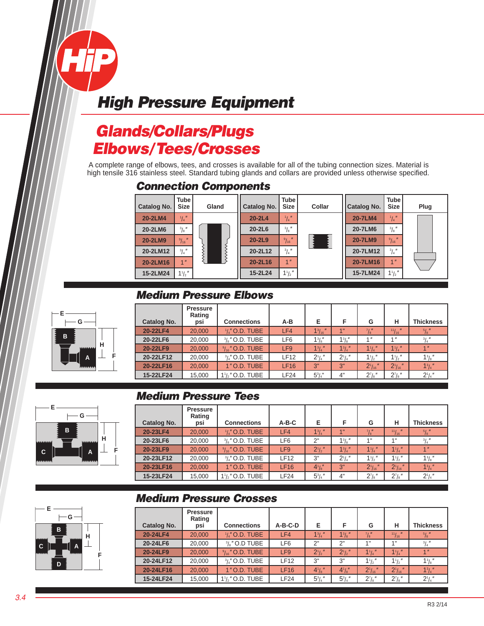# *Glands/Collars/Plugs Elbows/Tees/Crosses*

A complete range of elbows, tees, and crosses is available for all of the tubing connection sizes. Material is high tensile 316 stainless steel. Standard tubing glands and collars are provided unless otherwise specified.

#### *Connection Components*



## *Medium Pressure Elbows*

| $G -$               | Catalog No. | <b>Pressure</b><br>Rating<br>psi | <b>Connections</b>         | A-B             | Е              |           | G               | н              | <b>Thickness</b>                           |
|---------------------|-------------|----------------------------------|----------------------------|-----------------|----------------|-----------|-----------------|----------------|--------------------------------------------|
|                     | 20-22LF4    | 20,000                           | $\frac{1}{4}$ " O.D. TUBE  | LF4             | $1^{3}/_{16}$  | 4H        | $^7$ / $_8$ "   | 11/16          | $5/8$ <sup><math>\prime\prime</math></sup> |
|                     | 20-22LF6    | 20,000                           | $\frac{3}{8}$ " O.D. TUBE  | LF6             | $1^{3}/8$      | $1^{3}/8$ | 1 <sup>II</sup> | $A$ $II$       | 31 <sub>u</sub>                            |
| н<br><b>MAAAAAA</b> | 20-22LF9    | 20,000                           | $\frac{9}{16}$ " O.D. TUBE | LF <sub>9</sub> | $1^{3}/_{4}$ " | $1^{3}/4$ | $1^{1}/4$       | $1^{1}/4$      | 1 <sup>''</sup>                            |
| A                   | 20-22LF12   | 20,000                           | $\frac{3}{4}$ " O.D. TUBE  | LF12            | $2^1/4''$      | $2^1/4''$ | $1^{1}/2$       | $1\frac{1}{2}$ | $1^{3}/\frac{1}{8}$                        |
| <b>AAAAAAA</b>      | 20-22LF16   | 20,000                           | 1" O.D. TUBE               | <b>LF16</b>     | 3"             | 3"        | $2^{1}/_{16}$   | $21/16$ "      | $1^{3}/4$                                  |
|                     | 15-22LF24   | 15,000                           | $1\frac{1}{2}$ " O.D. TUBE | LF24            | $5^{3}/_{4}$ " | 4"        | $2^7$ /s"       | $2^7$ /s"      | $2^1/4''$                                  |

### *Medium Pressure Tees*

| Catalog No. | <b>Pressure</b><br>Rating<br>psi | <b>Connections</b>         | $A-B-C$         | Е              | F           | G                             | н                  | <b>Thickness</b>                       |
|-------------|----------------------------------|----------------------------|-----------------|----------------|-------------|-------------------------------|--------------------|----------------------------------------|
| 20-23LF4    | 20,000                           | $\frac{1}{4}$ " O.D. TUBE  | LF4             | $1^3/4''$      | 1"          | $^7/8''$                      | $^{11}/_{16}$ $''$ | $^{5}/_{8}$ $''$                       |
| 20-23LF6    | 20,000                           | $\frac{3}{8}$ " O.D. TUBE  | LF <sub>6</sub> | 2"             | $1^{3}/8$ " | 1"                            | 4"                 | $^{3}/_{4}$ <sup><math>''</math></sup> |
| 20-23LF9    | 20,000                           | $\frac{9}{16}$ " O.D. TUBE | LF <sub>9</sub> | $2^1/2$        | $1^{3}/4$   | $1^{1}/_{4}$ "                | $1^{1}/_{4}$ "     | 1 <sup>''</sup>                        |
| 20-23LF12   | 20,000                           | $3/\mu$ " O.D. TUBE        | LF12            | 3"             | $2^1/4''$   | $1\frac{1}{2}$                | $1\frac{1}{2}$     | $1^{3}/8$                              |
| 20-23LF16   | 20,000                           | 1" O.D. TUBE               | LF16            | $4^{1}/s''$    | 3"          | $2^{1}/_{16}$<br>$\mathbf{u}$ | $2^{1}/_{16}$ "    | $1^3/4''$                              |
| 15-23LF24   | 15,000                           | $1\frac{1}{2}$ " O.D. TUBE | LF24            | $5^{3}/_{4}$ " | 4"          | $2^7$ /s"                     | $2^7/s''$          | $2^1/4''$                              |



| Catalog No. | <b>Pressure</b><br>Rating<br>psi | <b>Connections</b>                        | A-B-C-D         | Е              | F           | G                          | н              | <b>Thickness</b>          |
|-------------|----------------------------------|-------------------------------------------|-----------------|----------------|-------------|----------------------------|----------------|---------------------------|
| 20-24LF4    | 20,000                           | $1/\mu''$ O.D. TUBE                       | LF4             | $1^{3}/4$      | $1^{3}/8$   | $^7$ / $_8^{\prime\prime}$ | 11/16          | $^{5}/_{8}$ $''$          |
| 20-24LF6    | 20,000                           | $\frac{3}{8}$ " O.D TUBE                  | LF6             | 2"             | 2"          | 1"                         | 1"             | $^{3}/_{4}$ <sup>11</sup> |
| 20-24LF9    | 20,000                           | $\frac{9}{16}$ " O.D. TUBE                | LF <sub>9</sub> | $2^1/2$        | $2^{1/2}$   | $1^{1}/_{4}$ "             | $1\frac{1}{4}$ | 1 <sup>''</sup>           |
| 20-24LF12   | 20,000                           | $\frac{3}{4}$ " O.D. TUBE                 | <b>LF12</b>     | 3"             | 3"          | $1^{1}/2$                  | $1\frac{1}{2}$ | $1^{3}/8$ "               |
| 20-24LF16   | 20,000                           | 1" O.D. TUBE                              | LF16            | $4^{1}/s''$    | $4^{1}/s''$ | $2^{1}/_{16}$ "            | $2^{1}/16$     | $1^{3}/4$                 |
| 15-24LF24   | 15,000                           | 1 <sup>1</sup> / <sub>2</sub> " O.D. TUBE | LF24            | $5^{3}/_{4}$ " | $53/4$ "    | $2^7$ / <sub>8</sub>       | $2^7/s''$      | $2^{1}/4$                 |



**E**

**B**

**H F G E B A D C**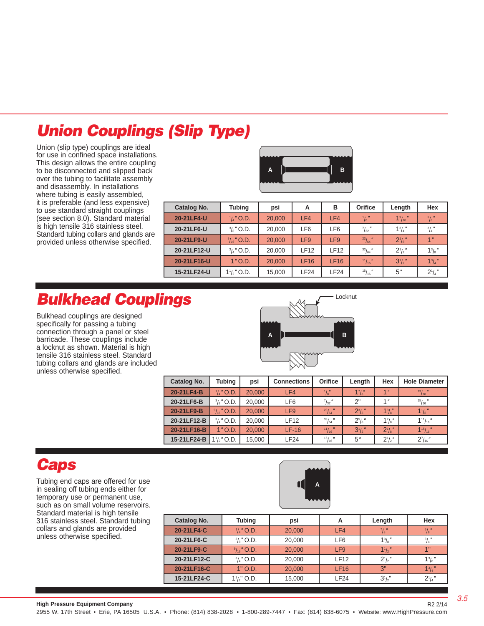# *Union Couplings (Slip Type)*

Union (slip type) couplings are ideal for use in confined space installations. This design allows the entire coupling to be disconnected and slipped back over the tubing to facilitate assembly and disassembly. In installations where tubing is easily assembled, it is preferable (and less expensive) to use standard straight couplings (see section 8.0). Standard material is high tensile 316 stainless steel. Standard tubing collars and glands are provided unless otherwise specified.



| <b>Tubing</b>             | psi    | А               | в               | Orifice           | Length            | Hex              |
|---------------------------|--------|-----------------|-----------------|-------------------|-------------------|------------------|
| $\frac{1}{4}$ " O.D.      | 20,000 | LF4             | LF4             | $^{1}/_{8}$ "     | $1\frac{9}{16}$ " | $^{5}/_{8}$ $''$ |
| $\frac{3}{8}$ " O.D.      | 20,000 | LF6             | LF <sub>6</sub> | $^{7}/_{32}$ $''$ | $1^{3}/_{4}$ "    | $^{3}/_{4}$ $''$ |
| $\frac{9}{16}$ " O.D.     | 20,000 | LF <sub>9</sub> | LF <sub>9</sub> | $^{23}/_{64}$ "   | $2^1/s''$         | 1 <sup>''</sup>  |
| $\frac{3}{4}$ " O.D.      | 20,000 | <b>LF12</b>     | <b>LF12</b>     | $\frac{33}{64}$   | $2^{1}/2$         | $1^{3}/8$        |
| $1"$ O.D.                 | 20,000 | LF16            | LF16            | 11/16             | $3^{1}/2$         | $1^{3}/4$        |
| $1\frac{1}{2}$ $\mu$ O.D. | 15,000 | LF24            | <b>LF24</b>     | 15/16             | 5"                | $2^1/4''$        |
|                           |        |                 |                 |                   |                   |                  |

# *Bulkhead Couplings*

Bulkhead couplings are designed specifically for passing a tubing connection through a panel or steel barricade. These couplings include a locknut as shown. Material is high tensile 316 stainless steel. Standard tubing collars and glands are included unless otherwise specified.



| Catalog No. | <b>Tubing</b>             | psi    | <b>Connections</b> | Orifice           | Length      | Hex                       | <b>Hole Diameter</b> |
|-------------|---------------------------|--------|--------------------|-------------------|-------------|---------------------------|----------------------|
| 20-21LF4-B  | $\frac{1}{4}$ " O.D.      | 20,000 | LF4                | $\frac{1}{8}$     | 17/8        | 1 <sup>''</sup>           | 13/16                |
| 20-21LF6-B  | $\frac{3}{8}$ " O.D.      | 20,000 | LF <sub>6</sub>    | $^{7}/_{32}$ $''$ | 2"          | 1 <sup>II</sup>           | 15/16                |
| 20-21LF9-B  | $\frac{9}{16}$ " O.D.     | 20,000 | LF <sub>9</sub>    | $^{23}/_{64}$ "   | $2^{3}/s''$ | $1^{3}/s''$               | $1\frac{1}{8}$       |
| 20-21LF12-B | $\frac{3}{4}$ " O.D.      | 20,000 | <b>LF12</b>        | 33/64             | $2^{5}/s$ " | $1^7$ / <sub>8</sub> $''$ | $1^{11}/_{16}$ "     |
| 20-21LF16-B | $1"$ O.D.                 | 20,000 | $LF-16$            | 11/16             | $3^{1/2}$   | $2^{\frac{1}{8}}$         | $1^{15}/_{16}$       |
| 15-21LF24-B | $1\frac{1}{2}$ $\mu$ O.D. | 15,000 | LF24               | 15/16             | 5"          | $2^1/2''$                 | $2^{7}/_{16}$ "      |

## *Caps*

Tubing end caps are offered for use in sealing off tubing ends either for temporary use or permanent use, such as on small volume reservoirs. Standard material is high tensile 316 stainless steel. Standard tubing collars and glands are provided unless otherwise specified.



| Catalog No. | <b>Tubing</b>         | psi    | А               | Length                 | Hex              |
|-------------|-----------------------|--------|-----------------|------------------------|------------------|
| 20-21LF4-C  | $\frac{1}{4}$ " O.D.  | 20,000 | LF4             | $^{7}/\mathrm{s}$ $''$ | $^{5}/_{8}$ $''$ |
| 20-21LF6-C  | $\frac{3}{8}$ " O.D.  | 20,000 | LF <sub>6</sub> | $1^{3}/s$              | $^{3}/_{4}$ "    |
| 20-21LF9-C  | $\frac{9}{16}$ " O.D. | 20,000 | LF9             | $1^{1}/2$              | 1"               |
| 20-21LF12-C | $\frac{3}{4}$ " O.D.  | 20,000 | <b>LF12</b>     | $2^{1/2}$              | $1^{3}/8$        |
| 20-21LF16-C | $1"$ O.D.             | 20,000 | <b>LF16</b>     | 3"                     | $1^3/4$          |
| 15-21LF24-C | $1\frac{1}{2}$ O.D.   | 15,000 | LF24            | $3^{1/2}$              | $2^1/4$          |

R2 2/14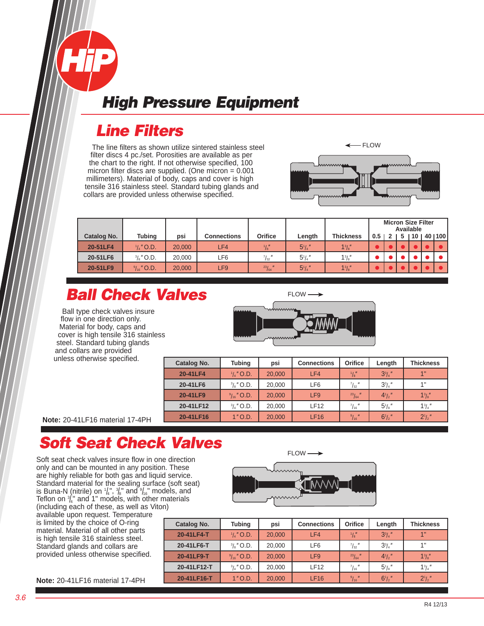# *Line Filters*

The line filters as shown utilize sintered stainless steel filter discs 4 pc./set. Porosities are available as per the chart to the right. If not otherwise specified, 100 micron filter discs are supplied. (One micron = 0.001 millimeters). Material of body, caps and cover is high tensile 316 stainless steel. Standard tubing glands and collars are provided unless otherwise specified.



| 1 <sup>3</sup> /s''<br>$5^{1}/4$<br>$\frac{1}{8}$<br>20-51LF4<br>$\frac{1}{4}$ " O.D.<br>20,000<br>LF4<br>$5^{1}/_{4}$ "<br>$1^{3}/s''$<br>$^{7}/_{32}$ "<br>$\frac{3}{8}$ " O.D.<br>20-51LF6<br>20,000<br>LF6 | Catalog No. | <b>Tubing</b>         | psi    | <b>Connections</b> | Orifice         | Length      | <b>Thickness</b> | 0.5 | 5 | <b>Micron Size Filter</b><br>Available<br>110 | 14011001 |
|----------------------------------------------------------------------------------------------------------------------------------------------------------------------------------------------------------------|-------------|-----------------------|--------|--------------------|-----------------|-------------|------------------|-----|---|-----------------------------------------------|----------|
|                                                                                                                                                                                                                |             |                       |        |                    |                 |             |                  |     |   |                                               |          |
|                                                                                                                                                                                                                |             |                       |        |                    |                 |             |                  |     |   |                                               |          |
|                                                                                                                                                                                                                | 20-51LF9    | $\frac{9}{16}$ " O.D. | 20,000 | LF9                | $^{23}/_{64}$ " | $5^{1}/4$ " | $1^{3}/s''$      |     |   |                                               |          |

# *Ball Check Valves*

Ball type check valves insure flow in one direction only. Material for body, caps and cover is high tensile 316 stainless steel. Standard tubing glands and collars are provided unless otherwise specified.



| Catalog No. | <b>Tubing</b>         | psi    | <b>Connections</b> | Orifice           | Length         | <b>Thickness</b> |
|-------------|-----------------------|--------|--------------------|-------------------|----------------|------------------|
| 20-41LF4    | $\frac{1}{4}$ " O.D.  | 20,000 | LF4                | $^{1}/_{8}$       | $3^{3}/4$ "    | 1"               |
| 20-41LF6    | $\frac{3}{8}$ " O.D.  | 20,000 | LF6                | $^{7}/_{32}$ $''$ | $3^{3}/_{4}$ " | 1"               |
| 20-41LF9    | $\frac{9}{16}$ " O.D. | 20,000 | LF <sub>9</sub>    | $^{23}/_{64}$ "   | $4^{1}/2$      | $1^{3}/8$        |
| 20-41LF12   | $\frac{3}{4}$ " O.D.  | 20,000 | <b>LF12</b>        | $^{7}/_{16}$ $''$ | $51/8$ "       | $1^{3}/_{4}$ "   |
| 20-41LF16   | $1"$ O.D.             | 20,000 | LF16               | $^{9}/_{16}$ "    | $6^{1}/2$      | $2^1/2$          |

**Note:** 20-41LF16 material 17-4PH

# *Soft Seat Check Valves*

Soft seat check valves insure flow in one direction only and can be mounted in any position. These are highly reliable for both gas and liquid service. Standard material for the sealing surface (soft seat) is Buna-N (nitrile) on  $\frac{1}{4}$ ,  $\frac{3}{8}$  and  $\frac{9}{16}$  models, and Teflon on  $\frac{3}{4}$ " and 1" models, with other materials (including each of these, as well as Viton)

available upon request. Temperature is limited by the choice of O-ring material. Material of all other parts is high tensile 316 stainless steel. Standard glands and collars are provided unless otherwise specified.



| Catalog No. | <b>Tubing</b>         | psi    | <b>Connections</b> | Orifice          | Length           | <b>Thickness</b> |
|-------------|-----------------------|--------|--------------------|------------------|------------------|------------------|
| 20-41LF4-T  | $\frac{1}{4}$ " O.D.  | 20,000 | LF4                | $\frac{1}{8}$    | $3^{3}/4$ "      | 1"               |
| 20-41LF6-T  | $\frac{3}{8}$ " O.D.  | 20,000 | LF6                | $^{7}/_{32}$ "   | $3^{3}/_{4}$ "   | 1"               |
| 20-41LF9-T  | $\frac{9}{16}$ " O.D. | 20,000 | LF <sub>9</sub>    | $^{23}/_{64}$ "  | $4^{1}/2$        | $1^{3}/a''$      |
| 20-41LF12-T | $\frac{3}{4}$ " O.D.  | 20,000 | <b>LF12</b>        | $^{7}/_{16}$ "   | $5\frac{1}{8}$ " | $1^3/4''$        |
| 20-41LF16-T | $1"$ O.D.             | 20,000 | <b>LF16</b>        | $\frac{9}{16}$ " | $6^{1}/2$        | $2^{1}/2''$      |

**Note:** 20-41LF16 material 17-4PH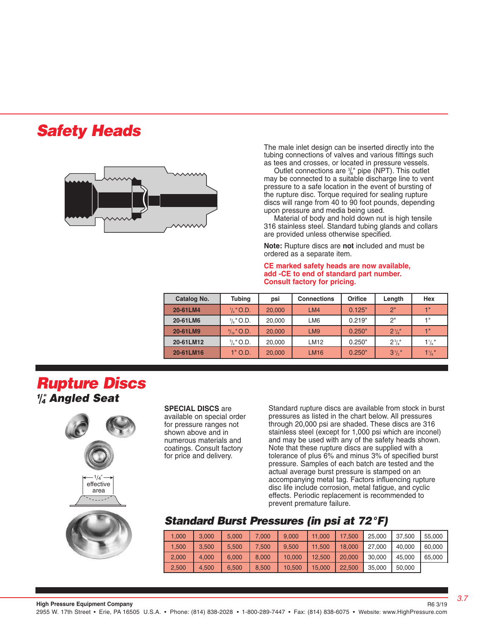# *Safety Heads*



 The male inlet design can be inserted directly into the tubing connections of valves and various fittings such as tees and crosses, or located in pressure vessels.

 may be connected to a suitable discharge line to vent pressure to a safe location in the event of bursting of the rupture disc. Torque required for sealing rupture discs will range from 40 to 90 foot pounds, depending upon pressure and media being used.

 Material of body and hold down nut is high tensile 316 stainless steel. Standard tubing glands and collars are provided unless otherwise specified.

 **Note:** Rupture discs are **not** included and must be ordered as a separate item.

 **CE marked safety heads are now available, add -CE to end of standard part number. Consult factory for pricing.**

| Catalog No. | <b>Tubing</b>         | psi           | <b>Connections</b> | Orifice | Length      | Hex              |
|-------------|-----------------------|---------------|--------------------|---------|-------------|------------------|
| 20-61LM4    | $\frac{1}{4}$ " O.D.  | LM4<br>20,000 |                    | 0.125"  | 2"          | 1"               |
| 20-61LM6    | $\frac{3}{8}$ " O.D.  | 20,000        | LM <sub>6</sub>    | 0.219"  | 2"          | 4 !!             |
| 20-61LM9    | $\frac{9}{16}$ " O.D. | 20,000        | LM <sub>9</sub>    | 0.250"  | $2^{1}/s''$ | 4 %              |
| 20-61LM12   | $\frac{3}{4}$ " O.D.  | 20,000        | LM12               | 0.250"  | $2^{3}/s''$ | $1\frac{1}{8}$ " |
| 20-61LM16   | 1" O.D.               | 20,000        | <b>LM16</b>        | 0.250"  | $31/2$ "    | $1\frac{1}{8}$   |

## *Rupture Discs 1 /4 " Angled Seat*



#### **SPECIAL DISCS** are

available on special order for pressure ranges not shown above and in numerous materials and coatings. Consult factory for price and delivery.

Standard rupture discs are available from stock in burst pressures as listed in the chart below. All pressures through 20,000 psi are shaded. These discs are 316 stainless steel (except for 1,000 psi which are inconel) and may be used with any of the safety heads shown. Note that these rupture discs are supplied with a tolerance of plus 6% and minus 3% of specified burst pressure. Samples of each batch are tested and the actual average burst pressure is stamped on an accompanying metal tag. Factors influencing rupture disc life include corrosion, metal fatigue, and cyclic effects. Periodic replacement is recommended to prevent premature failure.

#### *Standard Burst Pressures (in psi at 72°F)*

| 1.000 | 3.000 | 5.000 | 7.000 | 9.000  | 11.000 | 17.500 | 25,000 | 37.500 | 55,000 |
|-------|-------|-------|-------|--------|--------|--------|--------|--------|--------|
| 1.500 | 3.500 | 5.500 | 7,500 | 9.500  | 11.500 | 18.000 | 27,000 | 40.000 | 60,000 |
| 2,000 | 4.000 | 6.000 | 8.000 | 10.000 | 12,500 | 20,000 | 30.000 | 45.000 | 65,000 |
| 2.500 | 4.500 | 6.500 | 8.500 | 10.500 | 15,000 | 22.500 | 35,000 | 50,000 |        |

*3.7*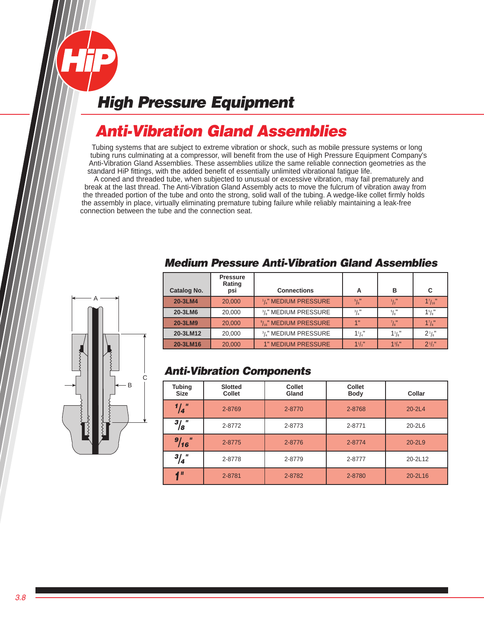# *Anti-Vibration Gland Assemblies*

Tubing systems that are subject to extreme vibration or shock, such as mobile pressure systems or long tubing runs culminating at a compressor, will benefit from the use of High Pressure Equipment Company's Anti-Vibration Gland Assemblies. These assemblies utilize the same reliable connection geometries as the standard HiP fittings, with the added benefit of essentially unlimited vibrational fatigue life.

 A coned and threaded tube, when subjected to unusual or excessive vibration, may fail prematurely and break at the last thread. The Anti-Vibration Gland Assembly acts to move the fulcrum of vibration away from the threaded portion of the tube and onto the strong, solid wall of the tubing. A wedge-like collet firmly holds the assembly in place, virtually eliminating premature tubing failure while reliably maintaining a leak-free connection between the tube and the connection seat.



## *Medium Pressure Anti-Vibration Gland Assemblies*

| Catalog No. | <b>Pressure</b><br>Rating<br>psi | <b>Connections</b>                            | Α               | в              | C              |
|-------------|----------------------------------|-----------------------------------------------|-----------------|----------------|----------------|
| 20-3LM4     | 20,000                           | $\frac{1}{4}$ " MEDIUM PRESSURE               | $^{5}/\!_{8}$ " | $\frac{1}{2}$  | $1^{7}/_{16}$  |
| 20-3LM6     | 20,000                           | <sup>3</sup> / <sub>8</sub> " MEDIUM PRESSURE | $\frac{3}{4}$   | $^{5}/_{8}$ "  | 15/8"          |
| 20-3LM9     | 20,000                           | $\frac{9}{16}$ " MEDIUM PRESSURE              | 4"              | $^7/8"$        | $1^{7}/s$      |
| 20-3LM12    | 20,000                           | <sup>3</sup> / <sub>4</sub> " MEDIUM PRESSURE | $1\frac{1}{4}$  | $1\frac{1}{8}$ | $2\frac{1}{8}$ |
| 20-3LM16    | 20,000                           | <b>1" MEDIUM PRESSURE</b>                     | 11/2"           | $1^{3}/a''$    | $2^{1/2}$      |

## *Anti-Vibration Components*

| <b>Tubing</b><br><b>Size</b> | <b>Slotted</b><br><b>Collet</b> | <b>Collet</b><br>Gland | <b>Collet</b><br><b>Body</b> | Collar     |
|------------------------------|---------------------------------|------------------------|------------------------------|------------|
| $\frac{1}{4}$ "              | 2-8769                          | 2-8770                 | 2-8768                       | $20 - 2L4$ |
| $^{3}/_{8}$ "                | 2-8772                          | 2-8773                 | 2-8771                       | 20-2L6     |
| $\mathbf{H}$<br>9/16         | 2-8775                          | 2-8776                 | 2-8774                       | $20 - 2L9$ |
| $^{3}/_{4}$ "                | 2-8778                          | 2-8779                 | 2-8777                       | 20-2L12    |
| $\mathbf{u}$                 | 2-8781                          | 2-8782                 | 2-8780                       | 20-2L16    |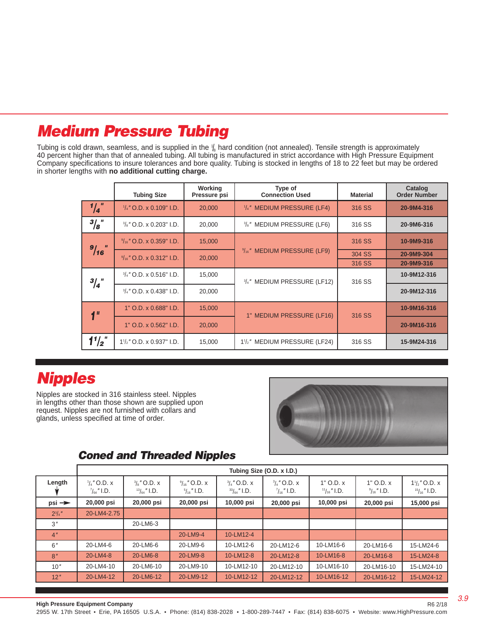# *Medium Pressure Tubing*

Tubing is cold drawn, seamless, and is supplied in the  $\frac{1}{8}$  hard condition (not annealed). Tensile strength is approximately 40 percent higher than that of annealed tubing. All tubing is manufactured in strict accordance with High Pressure Equipment Company specifications to insure tolerances and bore quality. Tubing is stocked in lengths of 18 to 22 feet but may be ordered in shorter lengths with **no additional cutting charge.**

|                 | <b>Tubing Size</b>                  | Working<br>Pressure psi | Type of<br><b>Connection Used</b>                      | <b>Material</b> | Catalog<br><b>Order Number</b> |
|-----------------|-------------------------------------|-------------------------|--------------------------------------------------------|-----------------|--------------------------------|
| $\frac{1}{4}$   | $\frac{1}{4}$ " O.D. x 0.109" I.D.  | 20,000                  | $\frac{1}{4}$ " MEDIUM PRESSURE (LF4)                  | 316 SS          | 20-9M4-316                     |
| $^{3}/_{8}$ "   | $\frac{3}{8}$ " O.D. x 0.203" I.D.  | 20,000                  | <sup>3</sup> / <sub>8</sub> " MEDIUM PRESSURE (LF6)    | 316 SS          | 20-9M6-316                     |
|                 | $\frac{9}{16}$ " O.D. x 0.359" I.D. | 15,000                  |                                                        | 316 SS          | 10-9M9-316                     |
| 9/16            | $\frac{9}{16}$ " O.D. x 0.312" I.D. | 20,000                  | $\frac{9}{16}$ " MEDIUM PRESSURE (LF9)                 | 304 SS          | 20-9M9-304                     |
|                 |                                     |                         |                                                        | 316 SS          | 20-9M9-316                     |
| $^{3}/_{4}$ "   | $\frac{3}{4}$ " O.D. x 0.516" I.D.  | 15,000                  | 3/4" MEDIUM PRESSURE (LF12)                            | 316 SS          | 10-9M12-316                    |
|                 | $\frac{3}{4}$ " O.D. x 0.438" I.D.  | 20,000                  |                                                        |                 | 20-9M12-316                    |
| 1 <sup>''</sup> | 1" O.D. x 0.688" I.D.               | 15,000                  | 1" MEDIUM PRESSURE (LF16)                              | 316 SS          | 10-9M16-316                    |
|                 | 1" O.D. x 0.562" I.D.               | 20,000                  |                                                        |                 | 20-9M16-316                    |
| $1'/2$ "        | $1\frac{1}{2}$ " O.D. x 0.937" I.D. | 15,000                  | 1 <sup>1</sup> / <sub>2</sub> " MEDIUM PRESSURE (LF24) | 316 SS          | 15-9M24-316                    |

# *Nipples*

Nipples are stocked in 316 stainless steel. Nipples in lengths other than those shown are supplied upon request. Nipples are not furnished with collars and glands, unless specified at time of order.



## *Coned and Threaded Nipples*

|                   |                                                 |                                                |                                                |                                                | Tubing Size (O.D. x I.D.)                     |                                       |                                        |                                                                 |
|-------------------|-------------------------------------------------|------------------------------------------------|------------------------------------------------|------------------------------------------------|-----------------------------------------------|---------------------------------------|----------------------------------------|-----------------------------------------------------------------|
| Length            | $\frac{1}{4}$ " O.D. x<br>$\frac{7}{64}$ " I.D. | $\frac{3}{8}$ " O.D. x<br>$^{13}/_{64}$ " I.D. | $\frac{9}{16}$ " O.D. x<br>$^{5}/_{16}$ " I.D. | $\frac{3}{4}$ " O.D. x<br>$^{33}/_{64}$ " I.D. | $^{3}/_{4}$ " O.D. x<br>$\frac{7}{16}$ " I.D. | $1"$ O.D. $x$<br>$\frac{11}{16}$ I.D. | $1"$ O.D. $x$<br>$\frac{9}{16}$ " I.D. | $1\frac{1}{2}$ $^{\prime\prime}$ O.D. x<br>$^{15}/_{16}$ " I.D. |
| $psi \rightarrow$ | 20,000 psi                                      | 20,000 psi                                     | 20,000 psi                                     | 10,000 psi                                     | 20,000 psi                                    | 10,000 psi                            | 20,000 psi                             | 15,000 psi                                                      |
| $2^{3}/4$ "       | 20-LM4-2.75                                     |                                                |                                                |                                                |                                               |                                       |                                        |                                                                 |
| 3 <sup>''</sup>   |                                                 | 20-LM6-3                                       |                                                |                                                |                                               |                                       |                                        |                                                                 |
| 4 <sup>n</sup>    |                                                 |                                                | 20-LM9-4                                       | 10-LM12-4                                      |                                               |                                       |                                        |                                                                 |
| 6''               | 20-LM4-6                                        | 20-LM6-6                                       | 20-LM9-6                                       | 10-LM12-6                                      | 20-LM12-6                                     | 10-LM16-6                             | 20-LM16-6                              | 15-LM24-6                                                       |
| 8''               | 20-LM4-8                                        | 20-LM6-8                                       | 20-LM9-8                                       | 10-LM12-8                                      | 20-LM12-8                                     | 10-LM16-8                             | 20-LM16-8                              | 15-LM24-8                                                       |
| 10''              | 20-LM4-10                                       | 20-LM6-10                                      | 20-LM9-10                                      | 10-LM12-10                                     | 20-LM12-10                                    | 10-LM16-10                            | 20-LM16-10                             | 15-LM24-10                                                      |
| 12"               | 20-LM4-12                                       | 20-LM6-12                                      | 20-LM9-12                                      | 10-LM12-12                                     | 20-LM12-12                                    | 10-LM16-12                            | 20-LM16-12                             | 15-LM24-12                                                      |

R6 2/18